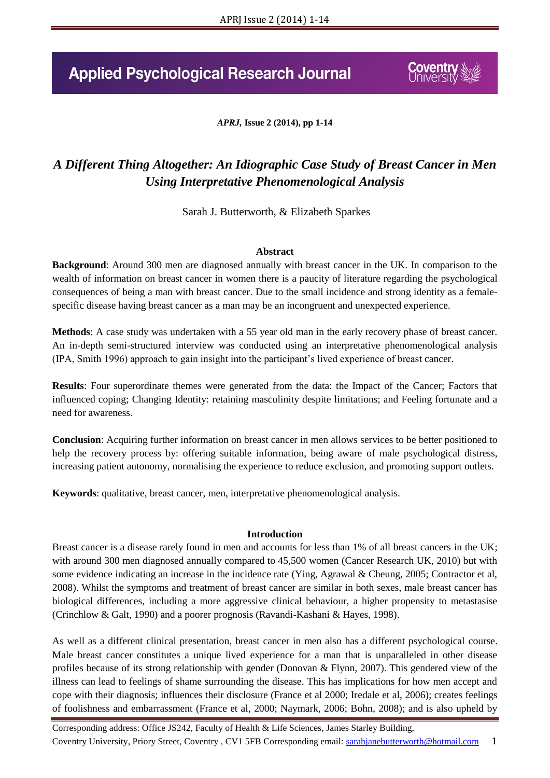# **Applied Psychological Research Journal**

*APRJ,* **Issue 2 (2014), pp 1-14**

## *A Different Thing Altogether: An Idiographic Case Study of Breast Cancer in Men Using Interpretative Phenomenological Analysis*

Sarah J. Butterworth, & Elizabeth Sparkes

#### **Abstract**

**Background**: Around 300 men are diagnosed annually with breast cancer in the UK. In comparison to the wealth of information on breast cancer in women there is a paucity of literature regarding the psychological consequences of being a man with breast cancer. Due to the small incidence and strong identity as a femalespecific disease having breast cancer as a man may be an incongruent and unexpected experience.

**Methods**: A case study was undertaken with a 55 year old man in the early recovery phase of breast cancer. An in-depth semi-structured interview was conducted using an interpretative phenomenological analysis (IPA, Smith 1996) approach to gain insight into the participant's lived experience of breast cancer.

**Results**: Four superordinate themes were generated from the data: the Impact of the Cancer; Factors that influenced coping; Changing Identity: retaining masculinity despite limitations; and Feeling fortunate and a need for awareness.

**Conclusion**: Acquiring further information on breast cancer in men allows services to be better positioned to help the recovery process by: offering suitable information, being aware of male psychological distress, increasing patient autonomy, normalising the experience to reduce exclusion, and promoting support outlets.

**Keywords**: qualitative, breast cancer, men, interpretative phenomenological analysis.

#### **Introduction**

Breast cancer is a disease rarely found in men and accounts for less than 1% of all breast cancers in the UK; with around 300 men diagnosed annually compared to 45,500 women (Cancer Research UK, 2010) but with some evidence indicating an increase in the incidence rate (Ying, Agrawal & Cheung, 2005; Contractor et al, 2008). Whilst the symptoms and treatment of breast cancer are similar in both sexes, male breast cancer has biological differences, including a more aggressive clinical behaviour, a higher propensity to metastasise (Crinchlow & Galt, 1990) and a poorer prognosis (Ravandi-Kashani & Hayes, 1998).

As well as a different clinical presentation, breast cancer in men also has a different psychological course. Male breast cancer constitutes a unique lived experience for a man that is unparalleled in other disease profiles because of its strong relationship with gender (Donovan & Flynn, 2007). This gendered view of the illness can lead to feelings of shame surrounding the disease. This has implications for how men accept and cope with their diagnosis; influences their disclosure (France et al 2000; Iredale et al, 2006); creates feelings of foolishness and embarrassment (France et al, 2000; Naymark, 2006; Bohn, 2008); and is also upheld by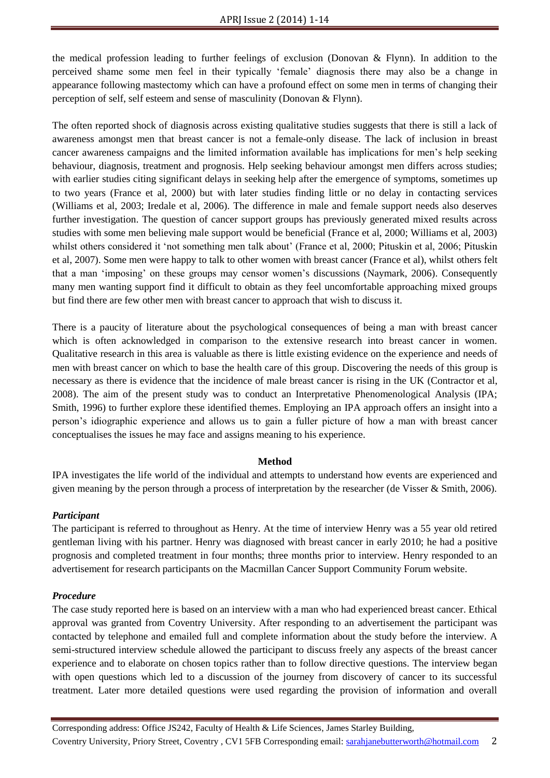the medical profession leading to further feelings of exclusion (Donovan & Flynn). In addition to the perceived shame some men feel in their typically 'female' diagnosis there may also be a change in appearance following mastectomy which can have a profound effect on some men in terms of changing their perception of self, self esteem and sense of masculinity (Donovan & Flynn).

The often reported shock of diagnosis across existing qualitative studies suggests that there is still a lack of awareness amongst men that breast cancer is not a female-only disease. The lack of inclusion in breast cancer awareness campaigns and the limited information available has implications for men's help seeking behaviour, diagnosis, treatment and prognosis. Help seeking behaviour amongst men differs across studies; with earlier studies citing significant delays in seeking help after the emergence of symptoms, sometimes up to two years (France et al, 2000) but with later studies finding little or no delay in contacting services (Williams et al, 2003; Iredale et al, 2006). The difference in male and female support needs also deserves further investigation. The question of cancer support groups has previously generated mixed results across studies with some men believing male support would be beneficial (France et al, 2000; Williams et al, 2003) whilst others considered it 'not something men talk about' (France et al, 2000; Pituskin et al, 2006; Pituskin et al, 2007). Some men were happy to talk to other women with breast cancer (France et al), whilst others felt that a man 'imposing' on these groups may censor women's discussions (Naymark, 2006). Consequently many men wanting support find it difficult to obtain as they feel uncomfortable approaching mixed groups but find there are few other men with breast cancer to approach that wish to discuss it.

There is a paucity of literature about the psychological consequences of being a man with breast cancer which is often acknowledged in comparison to the extensive research into breast cancer in women. Qualitative research in this area is valuable as there is little existing evidence on the experience and needs of men with breast cancer on which to base the health care of this group. Discovering the needs of this group is necessary as there is evidence that the incidence of male breast cancer is rising in the UK (Contractor et al, 2008). The aim of the present study was to conduct an Interpretative Phenomenological Analysis (IPA; Smith, 1996) to further explore these identified themes. Employing an IPA approach offers an insight into a person's idiographic experience and allows us to gain a fuller picture of how a man with breast cancer conceptualises the issues he may face and assigns meaning to his experience.

## **Method**

IPA investigates the life world of the individual and attempts to understand how events are experienced and given meaning by the person through a process of interpretation by the researcher (de Visser & Smith, 2006).

## *Participant*

The participant is referred to throughout as Henry. At the time of interview Henry was a 55 year old retired gentleman living with his partner. Henry was diagnosed with breast cancer in early 2010; he had a positive prognosis and completed treatment in four months; three months prior to interview. Henry responded to an advertisement for research participants on the Macmillan Cancer Support Community Forum website.

## *Procedure*

The case study reported here is based on an interview with a man who had experienced breast cancer. Ethical approval was granted from Coventry University. After responding to an advertisement the participant was contacted by telephone and emailed full and complete information about the study before the interview. A semi-structured interview schedule allowed the participant to discuss freely any aspects of the breast cancer experience and to elaborate on chosen topics rather than to follow directive questions. The interview began with open questions which led to a discussion of the journey from discovery of cancer to its successful treatment. Later more detailed questions were used regarding the provision of information and overall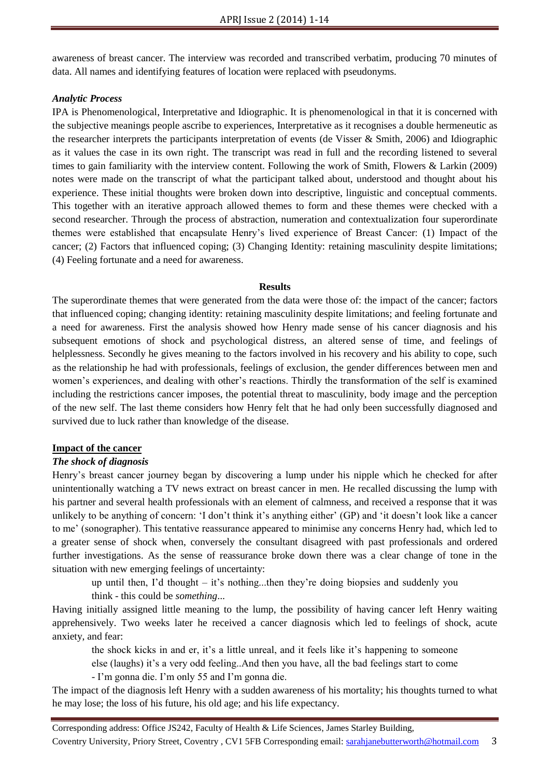awareness of breast cancer. The interview was recorded and transcribed verbatim, producing 70 minutes of data. All names and identifying features of location were replaced with pseudonyms.

#### *Analytic Process*

IPA is Phenomenological, Interpretative and Idiographic. It is phenomenological in that it is concerned with the subjective meanings people ascribe to experiences, Interpretative as it recognises a double hermeneutic as the researcher interprets the participants interpretation of events (de Visser & Smith, 2006) and Idiographic as it values the case in its own right. The transcript was read in full and the recording listened to several times to gain familiarity with the interview content. Following the work of Smith, Flowers & Larkin (2009) notes were made on the transcript of what the participant talked about, understood and thought about his experience. These initial thoughts were broken down into descriptive, linguistic and conceptual comments. This together with an iterative approach allowed themes to form and these themes were checked with a second researcher. Through the process of abstraction, numeration and contextualization four superordinate themes were established that encapsulate Henry's lived experience of Breast Cancer: (1) Impact of the cancer; (2) Factors that influenced coping; (3) Changing Identity: retaining masculinity despite limitations; (4) Feeling fortunate and a need for awareness.

#### **Results**

The superordinate themes that were generated from the data were those of: the impact of the cancer; factors that influenced coping; changing identity: retaining masculinity despite limitations; and feeling fortunate and a need for awareness. First the analysis showed how Henry made sense of his cancer diagnosis and his subsequent emotions of shock and psychological distress, an altered sense of time, and feelings of helplessness. Secondly he gives meaning to the factors involved in his recovery and his ability to cope, such as the relationship he had with professionals, feelings of exclusion, the gender differences between men and women's experiences, and dealing with other's reactions. Thirdly the transformation of the self is examined including the restrictions cancer imposes, the potential threat to masculinity, body image and the perception of the new self. The last theme considers how Henry felt that he had only been successfully diagnosed and survived due to luck rather than knowledge of the disease.

## **Impact of the cancer**

## *The shock of diagnosis*

Henry's breast cancer journey began by discovering a lump under his nipple which he checked for after unintentionally watching a TV news extract on breast cancer in men. He recalled discussing the lump with his partner and several health professionals with an element of calmness, and received a response that it was unlikely to be anything of concern: 'I don't think it's anything either' (GP) and 'it doesn't look like a cancer to me' (sonographer). This tentative reassurance appeared to minimise any concerns Henry had, which led to a greater sense of shock when, conversely the consultant disagreed with past professionals and ordered further investigations. As the sense of reassurance broke down there was a clear change of tone in the situation with new emerging feelings of uncertainty:

up until then, I'd thought – it's nothing...then they're doing biopsies and suddenly you think - this could be *something*...

Having initially assigned little meaning to the lump, the possibility of having cancer left Henry waiting apprehensively. Two weeks later he received a cancer diagnosis which led to feelings of shock, acute anxiety, and fear:

the shock kicks in and er, it's a little unreal, and it feels like it's happening to someone

else (laughs) it's a very odd feeling..And then you have, all the bad feelings start to come

- I'm gonna die. I'm only 55 and I'm gonna die.

The impact of the diagnosis left Henry with a sudden awareness of his mortality; his thoughts turned to what he may lose; the loss of his future, his old age; and his life expectancy.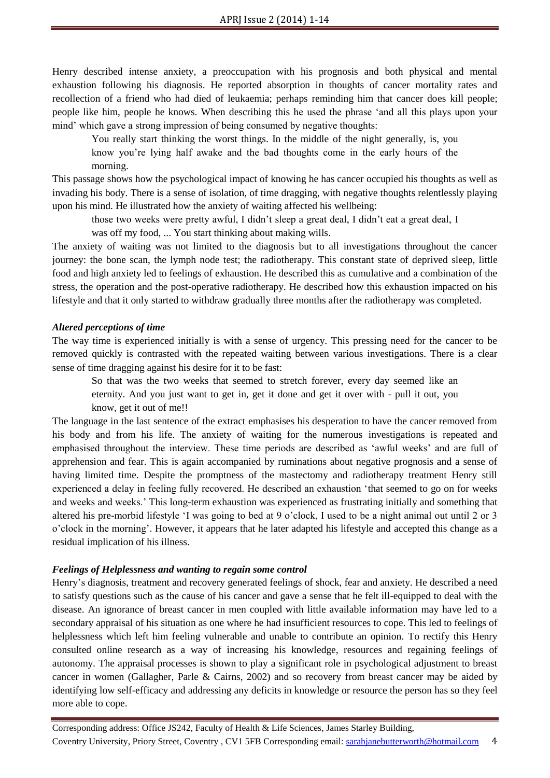Henry described intense anxiety, a preoccupation with his prognosis and both physical and mental exhaustion following his diagnosis. He reported absorption in thoughts of cancer mortality rates and recollection of a friend who had died of leukaemia; perhaps reminding him that cancer does kill people; people like him, people he knows. When describing this he used the phrase 'and all this plays upon your mind' which gave a strong impression of being consumed by negative thoughts:

You really start thinking the worst things. In the middle of the night generally, is, you know you're lying half awake and the bad thoughts come in the early hours of the morning.

This passage shows how the psychological impact of knowing he has cancer occupied his thoughts as well as invading his body. There is a sense of isolation, of time dragging, with negative thoughts relentlessly playing upon his mind. He illustrated how the anxiety of waiting affected his wellbeing:

those two weeks were pretty awful, I didn't sleep a great deal, I didn't eat a great deal, I

was off my food, ... You start thinking about making wills.

The anxiety of waiting was not limited to the diagnosis but to all investigations throughout the cancer journey: the bone scan, the lymph node test; the radiotherapy. This constant state of deprived sleep, little food and high anxiety led to feelings of exhaustion. He described this as cumulative and a combination of the stress, the operation and the post-operative radiotherapy. He described how this exhaustion impacted on his lifestyle and that it only started to withdraw gradually three months after the radiotherapy was completed.

#### *Altered perceptions of time*

The way time is experienced initially is with a sense of urgency. This pressing need for the cancer to be removed quickly is contrasted with the repeated waiting between various investigations. There is a clear sense of time dragging against his desire for it to be fast:

So that was the two weeks that seemed to stretch forever, every day seemed like an eternity. And you just want to get in, get it done and get it over with - pull it out, you know, get it out of me!!

The language in the last sentence of the extract emphasises his desperation to have the cancer removed from his body and from his life. The anxiety of waiting for the numerous investigations is repeated and emphasised throughout the interview. These time periods are described as 'awful weeks' and are full of apprehension and fear. This is again accompanied by ruminations about negative prognosis and a sense of having limited time. Despite the promptness of the mastectomy and radiotherapy treatment Henry still experienced a delay in feeling fully recovered. He described an exhaustion 'that seemed to go on for weeks and weeks and weeks.' This long-term exhaustion was experienced as frustrating initially and something that altered his pre-morbid lifestyle 'I was going to bed at 9 o'clock, I used to be a night animal out until 2 or 3 o'clock in the morning'. However, it appears that he later adapted his lifestyle and accepted this change as a residual implication of his illness.

#### *Feelings of Helplessness and wanting to regain some control*

Henry's diagnosis, treatment and recovery generated feelings of shock, fear and anxiety. He described a need to satisfy questions such as the cause of his cancer and gave a sense that he felt ill-equipped to deal with the disease. An ignorance of breast cancer in men coupled with little available information may have led to a secondary appraisal of his situation as one where he had insufficient resources to cope. This led to feelings of helplessness which left him feeling vulnerable and unable to contribute an opinion. To rectify this Henry consulted online research as a way of increasing his knowledge, resources and regaining feelings of autonomy. The appraisal processes is shown to play a significant role in psychological adjustment to breast cancer in women (Gallagher, Parle & Cairns, 2002) and so recovery from breast cancer may be aided by identifying low self-efficacy and addressing any deficits in knowledge or resource the person has so they feel more able to cope.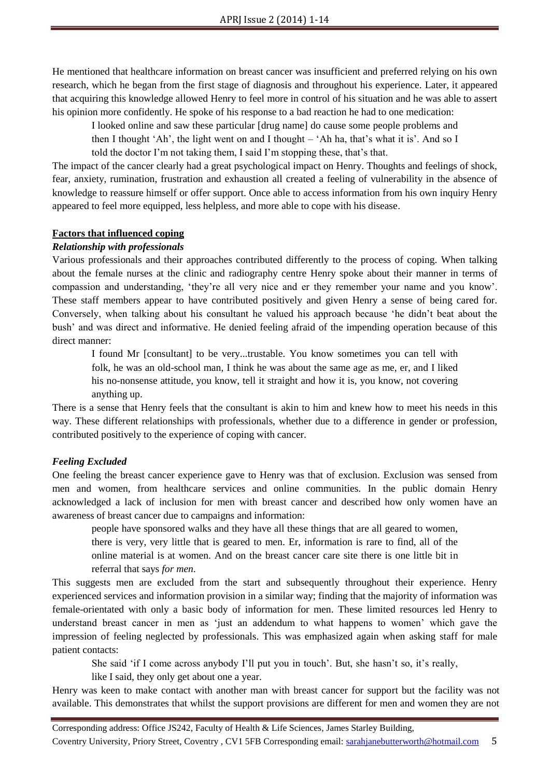He mentioned that healthcare information on breast cancer was insufficient and preferred relying on his own research, which he began from the first stage of diagnosis and throughout his experience. Later, it appeared that acquiring this knowledge allowed Henry to feel more in control of his situation and he was able to assert his opinion more confidently. He spoke of his response to a bad reaction he had to one medication:

I looked online and saw these particular [drug name] do cause some people problems and

then I thought 'Ah', the light went on and I thought – 'Ah ha, that's what it is'. And so I told the doctor I'm not taking them, I said I'm stopping these, that's that.

The impact of the cancer clearly had a great psychological impact on Henry. Thoughts and feelings of shock, fear, anxiety, rumination, frustration and exhaustion all created a feeling of vulnerability in the absence of knowledge to reassure himself or offer support. Once able to access information from his own inquiry Henry appeared to feel more equipped, less helpless, and more able to cope with his disease.

#### **Factors that influenced coping**

#### *Relationship with professionals*

Various professionals and their approaches contributed differently to the process of coping. When talking about the female nurses at the clinic and radiography centre Henry spoke about their manner in terms of compassion and understanding, 'they're all very nice and er they remember your name and you know'. These staff members appear to have contributed positively and given Henry a sense of being cared for. Conversely, when talking about his consultant he valued his approach because 'he didn't beat about the bush' and was direct and informative. He denied feeling afraid of the impending operation because of this direct manner:

I found Mr [consultant] to be very...trustable. You know sometimes you can tell with folk, he was an old-school man, I think he was about the same age as me, er, and I liked his no-nonsense attitude, you know, tell it straight and how it is, you know, not covering anything up.

There is a sense that Henry feels that the consultant is akin to him and knew how to meet his needs in this way. These different relationships with professionals, whether due to a difference in gender or profession, contributed positively to the experience of coping with cancer.

## *Feeling Excluded*

One feeling the breast cancer experience gave to Henry was that of exclusion. Exclusion was sensed from men and women, from healthcare services and online communities. In the public domain Henry acknowledged a lack of inclusion for men with breast cancer and described how only women have an awareness of breast cancer due to campaigns and information:

people have sponsored walks and they have all these things that are all geared to women, there is very, very little that is geared to men. Er, information is rare to find, all of the online material is at women. And on the breast cancer care site there is one little bit in referral that says *for men*.

This suggests men are excluded from the start and subsequently throughout their experience. Henry experienced services and information provision in a similar way; finding that the majority of information was female-orientated with only a basic body of information for men. These limited resources led Henry to understand breast cancer in men as 'just an addendum to what happens to women' which gave the impression of feeling neglected by professionals. This was emphasized again when asking staff for male patient contacts:

She said 'if I come across anybody I'll put you in touch'. But, she hasn't so, it's really,

like I said, they only get about one a year.

Henry was keen to make contact with another man with breast cancer for support but the facility was not available. This demonstrates that whilst the support provisions are different for men and women they are not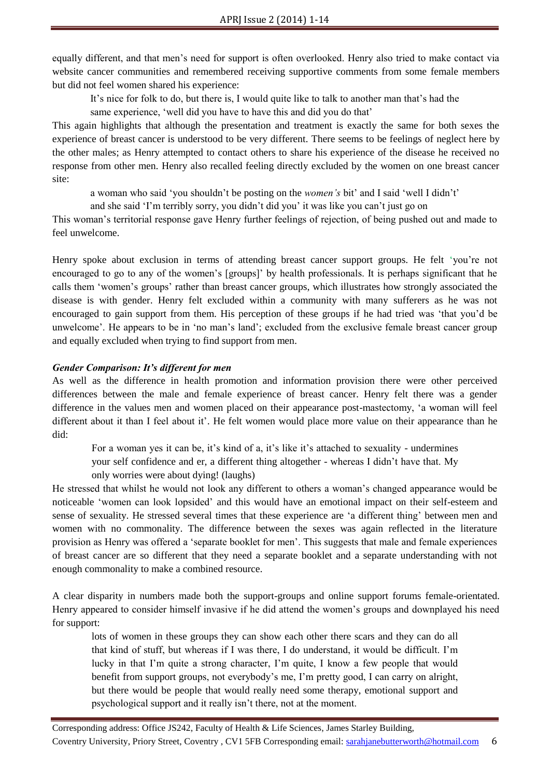equally different, and that men's need for support is often overlooked. Henry also tried to make contact via website cancer communities and remembered receiving supportive comments from some female members but did not feel women shared his experience:

It's nice for folk to do, but there is, I would quite like to talk to another man that's had the

same experience, 'well did you have to have this and did you do that'

This again highlights that although the presentation and treatment is exactly the same for both sexes the experience of breast cancer is understood to be very different. There seems to be feelings of neglect here by the other males; as Henry attempted to contact others to share his experience of the disease he received no response from other men. Henry also recalled feeling directly excluded by the women on one breast cancer site:

a woman who said 'you shouldn't be posting on the *women's* bit' and I said 'well I didn't'

and she said 'I'm terribly sorry, you didn't did you' it was like you can't just go on

This woman's territorial response gave Henry further feelings of rejection, of being pushed out and made to feel unwelcome.

Henry spoke about exclusion in terms of attending breast cancer support groups. He felt 'you're not encouraged to go to any of the women's [groups]' by health professionals. It is perhaps significant that he calls them 'women's groups' rather than breast cancer groups, which illustrates how strongly associated the disease is with gender. Henry felt excluded within a community with many sufferers as he was not encouraged to gain support from them. His perception of these groups if he had tried was 'that you'd be unwelcome'. He appears to be in 'no man's land'; excluded from the exclusive female breast cancer group and equally excluded when trying to find support from men.

#### *Gender Comparison: It's different for men*

As well as the difference in health promotion and information provision there were other perceived differences between the male and female experience of breast cancer. Henry felt there was a gender difference in the values men and women placed on their appearance post-mastectomy, 'a woman will feel different about it than I feel about it'. He felt women would place more value on their appearance than he did:

For a woman yes it can be, it's kind of a, it's like it's attached to sexuality - undermines your self confidence and er, a different thing altogether - whereas I didn't have that. My only worries were about dying! (laughs)

He stressed that whilst he would not look any different to others a woman's changed appearance would be noticeable 'women can look lopsided' and this would have an emotional impact on their self-esteem and sense of sexuality. He stressed several times that these experience are 'a different thing' between men and women with no commonality. The difference between the sexes was again reflected in the literature provision as Henry was offered a 'separate booklet for men'. This suggests that male and female experiences of breast cancer are so different that they need a separate booklet and a separate understanding with not enough commonality to make a combined resource.

A clear disparity in numbers made both the support-groups and online support forums female-orientated. Henry appeared to consider himself invasive if he did attend the women's groups and downplayed his need for support:

lots of women in these groups they can show each other there scars and they can do all that kind of stuff, but whereas if I was there, I do understand, it would be difficult. I'm lucky in that I'm quite a strong character, I'm quite, I know a few people that would benefit from support groups, not everybody's me, I'm pretty good, I can carry on alright, but there would be people that would really need some therapy, emotional support and psychological support and it really isn't there, not at the moment.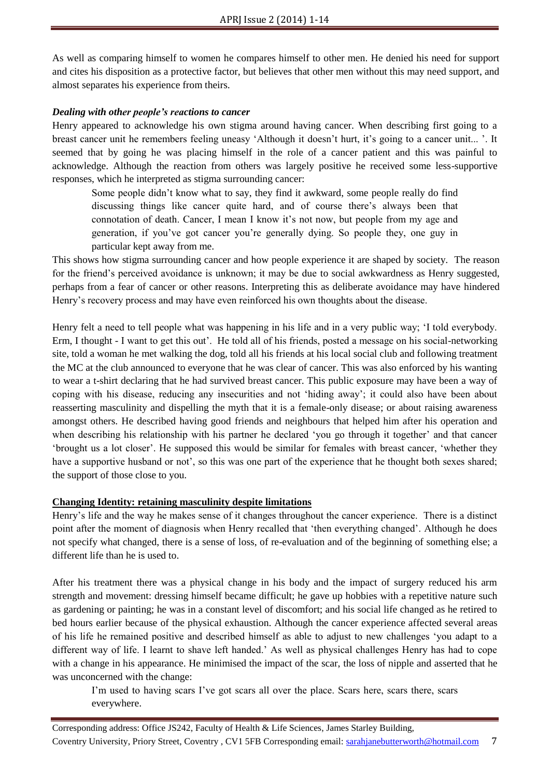As well as comparing himself to women he compares himself to other men. He denied his need for support and cites his disposition as a protective factor, but believes that other men without this may need support, and almost separates his experience from theirs.

#### *Dealing with other people's reactions to cancer*

Henry appeared to acknowledge his own stigma around having cancer. When describing first going to a breast cancer unit he remembers feeling uneasy 'Although it doesn't hurt, it's going to a cancer unit... '. It seemed that by going he was placing himself in the role of a cancer patient and this was painful to acknowledge. Although the reaction from others was largely positive he received some less-supportive responses, which he interpreted as stigma surrounding cancer:

Some people didn't know what to say, they find it awkward, some people really do find discussing things like cancer quite hard, and of course there's always been that connotation of death. Cancer, I mean I know it's not now, but people from my age and generation, if you've got cancer you're generally dying. So people they, one guy in particular kept away from me.

This shows how stigma surrounding cancer and how people experience it are shaped by society. The reason for the friend's perceived avoidance is unknown; it may be due to social awkwardness as Henry suggested, perhaps from a fear of cancer or other reasons. Interpreting this as deliberate avoidance may have hindered Henry's recovery process and may have even reinforced his own thoughts about the disease.

Henry felt a need to tell people what was happening in his life and in a very public way; 'I told everybody. Erm, I thought - I want to get this out'. He told all of his friends, posted a message on his social-networking site, told a woman he met walking the dog, told all his friends at his local social club and following treatment the MC at the club announced to everyone that he was clear of cancer. This was also enforced by his wanting to wear a t-shirt declaring that he had survived breast cancer. This public exposure may have been a way of coping with his disease, reducing any insecurities and not 'hiding away'; it could also have been about reasserting masculinity and dispelling the myth that it is a female-only disease; or about raising awareness amongst others. He described having good friends and neighbours that helped him after his operation and when describing his relationship with his partner he declared 'you go through it together' and that cancer 'brought us a lot closer'. He supposed this would be similar for females with breast cancer, 'whether they have a supportive husband or not', so this was one part of the experience that he thought both sexes shared; the support of those close to you.

## **Changing Identity: retaining masculinity despite limitations**

Henry's life and the way he makes sense of it changes throughout the cancer experience. There is a distinct point after the moment of diagnosis when Henry recalled that 'then everything changed'. Although he does not specify what changed, there is a sense of loss, of re-evaluation and of the beginning of something else; a different life than he is used to.

After his treatment there was a physical change in his body and the impact of surgery reduced his arm strength and movement: dressing himself became difficult; he gave up hobbies with a repetitive nature such as gardening or painting; he was in a constant level of discomfort; and his social life changed as he retired to bed hours earlier because of the physical exhaustion. Although the cancer experience affected several areas of his life he remained positive and described himself as able to adjust to new challenges 'you adapt to a different way of life. I learnt to shave left handed.' As well as physical challenges Henry has had to cope with a change in his appearance. He minimised the impact of the scar, the loss of nipple and asserted that he was unconcerned with the change:

I'm used to having scars I've got scars all over the place. Scars here, scars there, scars everywhere.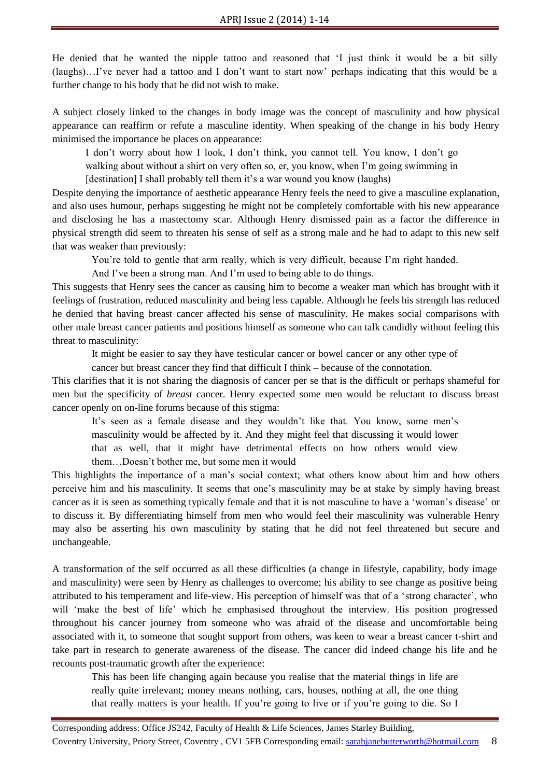He denied that he wanted the nipple tattoo and reasoned that 'I just think it would be a bit silly (laughs)…I've never had a tattoo and I don't want to start now' perhaps indicating that this would be a further change to his body that he did not wish to make.

A subject closely linked to the changes in body image was the concept of masculinity and how physical appearance can reaffirm or refute a masculine identity. When speaking of the change in his body Henry minimised the importance he places on appearance:

I don't worry about how I look, I don't think, you cannot tell. You know, I don't go walking about without a shirt on very often so, er, you know, when I'm going swimming in [destination] I shall probably tell them it's a war wound you know (laughs)

Despite denying the importance of aesthetic appearance Henry feels the need to give a masculine explanation, and also uses humour, perhaps suggesting he might not be completely comfortable with his new appearance and disclosing he has a mastectomy scar. Although Henry dismissed pain as a factor the difference in physical strength did seem to threaten his sense of self as a strong male and he had to adapt to this new self that was weaker than previously:

You're told to gentle that arm really, which is very difficult, because I'm right handed.

And I've been a strong man. And I'm used to being able to do things.

This suggests that Henry sees the cancer as causing him to become a weaker man which has brought with it feelings of frustration, reduced masculinity and being less capable. Although he feels his strength has reduced he denied that having breast cancer affected his sense of masculinity. He makes social comparisons with other male breast cancer patients and positions himself as someone who can talk candidly without feeling this threat to masculinity:

It might be easier to say they have testicular cancer or bowel cancer or any other type of

cancer but breast cancer they find that difficult I think – because of the connotation.

This clarifies that it is not sharing the diagnosis of cancer per se that is the difficult or perhaps shameful for men but the specificity of *breast* cancer. Henry expected some men would be reluctant to discuss breast cancer openly on on-line forums because of this stigma:

It's seen as a female disease and they wouldn't like that. You know, some men's masculinity would be affected by it. And they might feel that discussing it would lower that as well, that it might have detrimental effects on how others would view them…Doesn't bother me, but some men it would

This highlights the importance of a man's social context; what others know about him and how others perceive him and his masculinity. It seems that one's masculinity may be at stake by simply having breast cancer as it is seen as something typically female and that it is not masculine to have a 'woman's disease' or to discuss it. By differentiating himself from men who would feel their masculinity was vulnerable Henry may also be asserting his own masculinity by stating that he did not feel threatened but secure and unchangeable.

A transformation of the self occurred as all these difficulties (a change in lifestyle, capability, body image and masculinity) were seen by Henry as challenges to overcome; his ability to see change as positive being attributed to his temperament and life-view. His perception of himself was that of a 'strong character', who will 'make the best of life' which he emphasised throughout the interview. His position progressed throughout his cancer journey from someone who was afraid of the disease and uncomfortable being associated with it, to someone that sought support from others, was keen to wear a breast cancer t-shirt and take part in research to generate awareness of the disease. The cancer did indeed change his life and he recounts post-traumatic growth after the experience:

This has been life changing again because you realise that the material things in life are really quite irrelevant; money means nothing, cars, houses, nothing at all, the one thing that really matters is your health. If you're going to live or if you're going to die. So I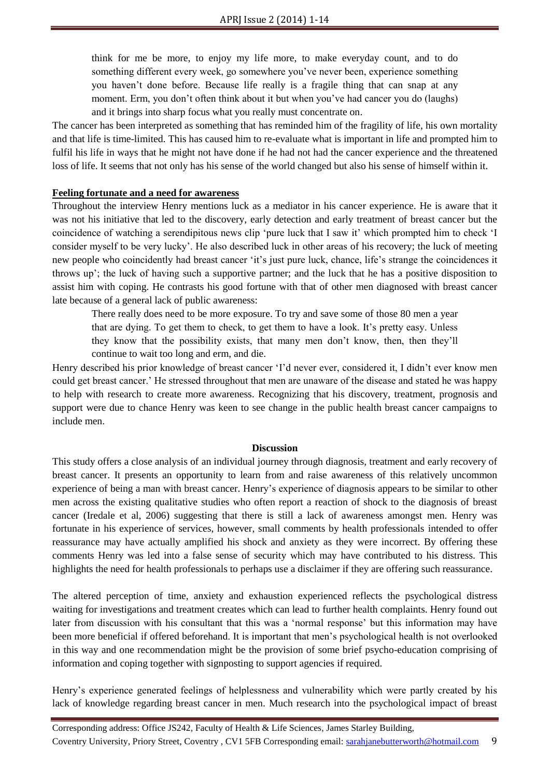think for me be more, to enjoy my life more, to make everyday count, and to do something different every week, go somewhere you've never been, experience something you haven't done before. Because life really is a fragile thing that can snap at any moment. Erm, you don't often think about it but when you've had cancer you do (laughs) and it brings into sharp focus what you really must concentrate on.

The cancer has been interpreted as something that has reminded him of the fragility of life, his own mortality and that life is time-limited. This has caused him to re-evaluate what is important in life and prompted him to fulfil his life in ways that he might not have done if he had not had the cancer experience and the threatened loss of life. It seems that not only has his sense of the world changed but also his sense of himself within it.

#### **Feeling fortunate and a need for awareness**

Throughout the interview Henry mentions luck as a mediator in his cancer experience. He is aware that it was not his initiative that led to the discovery, early detection and early treatment of breast cancer but the coincidence of watching a serendipitous news clip 'pure luck that I saw it' which prompted him to check 'I consider myself to be very lucky'. He also described luck in other areas of his recovery; the luck of meeting new people who coincidently had breast cancer 'it's just pure luck, chance, life's strange the coincidences it throws up'; the luck of having such a supportive partner; and the luck that he has a positive disposition to assist him with coping. He contrasts his good fortune with that of other men diagnosed with breast cancer late because of a general lack of public awareness:

There really does need to be more exposure. To try and save some of those 80 men a year that are dying. To get them to check, to get them to have a look. It's pretty easy. Unless they know that the possibility exists, that many men don't know, then, then they'll continue to wait too long and erm, and die.

Henry described his prior knowledge of breast cancer 'I'd never ever, considered it, I didn't ever know men could get breast cancer.' He stressed throughout that men are unaware of the disease and stated he was happy to help with research to create more awareness. Recognizing that his discovery, treatment, prognosis and support were due to chance Henry was keen to see change in the public health breast cancer campaigns to include men.

#### **Discussion**

This study offers a close analysis of an individual journey through diagnosis, treatment and early recovery of breast cancer. It presents an opportunity to learn from and raise awareness of this relatively uncommon experience of being a man with breast cancer. Henry's experience of diagnosis appears to be similar to other men across the existing qualitative studies who often report a reaction of shock to the diagnosis of breast cancer (Iredale et al, 2006) suggesting that there is still a lack of awareness amongst men. Henry was fortunate in his experience of services, however, small comments by health professionals intended to offer reassurance may have actually amplified his shock and anxiety as they were incorrect. By offering these comments Henry was led into a false sense of security which may have contributed to his distress. This highlights the need for health professionals to perhaps use a disclaimer if they are offering such reassurance.

The altered perception of time, anxiety and exhaustion experienced reflects the psychological distress waiting for investigations and treatment creates which can lead to further health complaints. Henry found out later from discussion with his consultant that this was a 'normal response' but this information may have been more beneficial if offered beforehand. It is important that men's psychological health is not overlooked in this way and one recommendation might be the provision of some brief psycho-education comprising of information and coping together with signposting to support agencies if required.

Henry's experience generated feelings of helplessness and vulnerability which were partly created by his lack of knowledge regarding breast cancer in men. Much research into the psychological impact of breast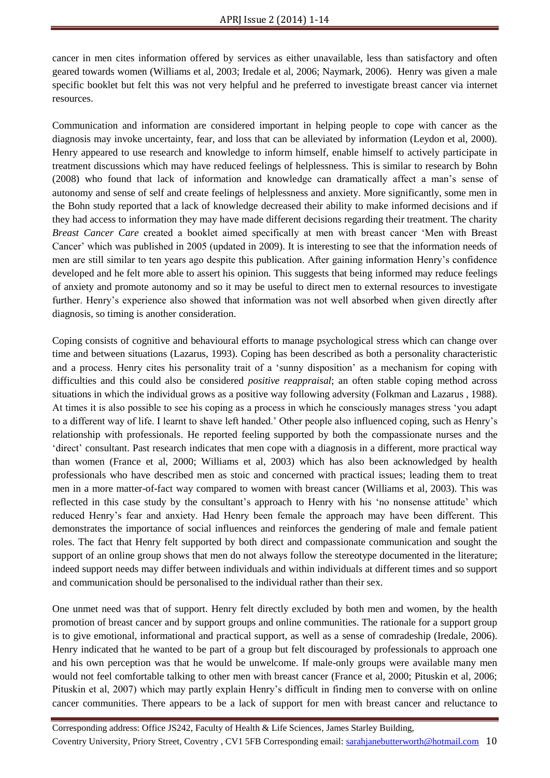cancer in men cites information offered by services as either unavailable, less than satisfactory and often geared towards women (Williams et al, 2003; Iredale et al, 2006; Naymark, 2006). Henry was given a male specific booklet but felt this was not very helpful and he preferred to investigate breast cancer via internet resources.

Communication and information are considered important in helping people to cope with cancer as the diagnosis may invoke uncertainty, fear, and loss that can be alleviated by information (Leydon et al, 2000). Henry appeared to use research and knowledge to inform himself, enable himself to actively participate in treatment discussions which may have reduced feelings of helplessness. This is similar to research by Bohn (2008) who found that lack of information and knowledge can dramatically affect a man's sense of autonomy and sense of self and create feelings of helplessness and anxiety. More significantly, some men in the Bohn study reported that a lack of knowledge decreased their ability to make informed decisions and if they had access to information they may have made different decisions regarding their treatment. The charity *Breast Cancer Care* created a booklet aimed specifically at men with breast cancer 'Men with Breast Cancer' which was published in 2005 (updated in 2009). It is interesting to see that the information needs of men are still similar to ten years ago despite this publication. After gaining information Henry's confidence developed and he felt more able to assert his opinion. This suggests that being informed may reduce feelings of anxiety and promote autonomy and so it may be useful to direct men to external resources to investigate further. Henry's experience also showed that information was not well absorbed when given directly after diagnosis, so timing is another consideration.

Coping consists of cognitive and behavioural efforts to manage psychological stress which can change over time and between situations (Lazarus, 1993). Coping has been described as both a personality characteristic and a process. Henry cites his personality trait of a 'sunny disposition' as a mechanism for coping with difficulties and this could also be considered *positive reappraisal*; an often stable coping method across situations in which the individual grows as a positive way following adversity (Folkman and Lazarus , 1988). At times it is also possible to see his coping as a process in which he consciously manages stress 'you adapt to a different way of life. I learnt to shave left handed.' Other people also influenced coping, such as Henry's relationship with professionals. He reported feeling supported by both the compassionate nurses and the 'direct' consultant. Past research indicates that men cope with a diagnosis in a different, more practical way than women (France et al, 2000; Williams et al, 2003) which has also been acknowledged by health professionals who have described men as stoic and concerned with practical issues; leading them to treat men in a more matter-of-fact way compared to women with breast cancer (Williams et al, 2003). This was reflected in this case study by the consultant's approach to Henry with his 'no nonsense attitude' which reduced Henry's fear and anxiety. Had Henry been female the approach may have been different. This demonstrates the importance of social influences and reinforces the gendering of male and female patient roles. The fact that Henry felt supported by both direct and compassionate communication and sought the support of an online group shows that men do not always follow the stereotype documented in the literature; indeed support needs may differ between individuals and within individuals at different times and so support and communication should be personalised to the individual rather than their sex.

One unmet need was that of support. Henry felt directly excluded by both men and women, by the health promotion of breast cancer and by support groups and online communities. The rationale for a support group is to give emotional, informational and practical support, as well as a sense of comradeship (Iredale, 2006). Henry indicated that he wanted to be part of a group but felt discouraged by professionals to approach one and his own perception was that he would be unwelcome. If male-only groups were available many men would not feel comfortable talking to other men with breast cancer (France et al, 2000; Pituskin et al, 2006; Pituskin et al, 2007) which may partly explain Henry's difficult in finding men to converse with on online cancer communities. There appears to be a lack of support for men with breast cancer and reluctance to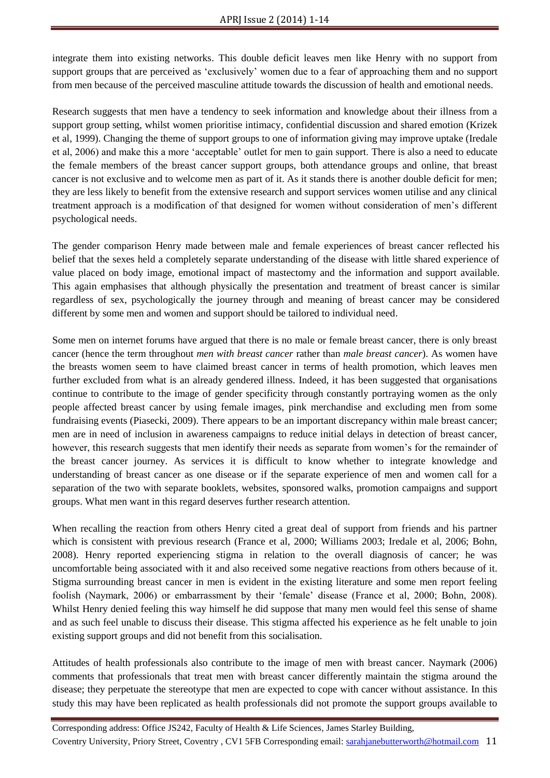integrate them into existing networks. This double deficit leaves men like Henry with no support from support groups that are perceived as 'exclusively' women due to a fear of approaching them and no support from men because of the perceived masculine attitude towards the discussion of health and emotional needs.

Research suggests that men have a tendency to seek information and knowledge about their illness from a support group setting, whilst women prioritise intimacy, confidential discussion and shared emotion (Krizek et al, 1999). Changing the theme of support groups to one of information giving may improve uptake (Iredale et al, 2006) and make this a more 'acceptable' outlet for men to gain support. There is also a need to educate the female members of the breast cancer support groups, both attendance groups and online, that breast cancer is not exclusive and to welcome men as part of it. As it stands there is another double deficit for men; they are less likely to benefit from the extensive research and support services women utilise and any clinical treatment approach is a modification of that designed for women without consideration of men's different psychological needs.

The gender comparison Henry made between male and female experiences of breast cancer reflected his belief that the sexes held a completely separate understanding of the disease with little shared experience of value placed on body image, emotional impact of mastectomy and the information and support available. This again emphasises that although physically the presentation and treatment of breast cancer is similar regardless of sex, psychologically the journey through and meaning of breast cancer may be considered different by some men and women and support should be tailored to individual need.

Some men on internet forums have argued that there is no male or female breast cancer, there is only breast cancer (hence the term throughout *men with breast cancer* rather than *male breast cancer*). As women have the breasts women seem to have claimed breast cancer in terms of health promotion, which leaves men further excluded from what is an already gendered illness. Indeed, it has been suggested that organisations continue to contribute to the image of gender specificity through constantly portraying women as the only people affected breast cancer by using female images, pink merchandise and excluding men from some fundraising events (Piasecki, 2009). There appears to be an important discrepancy within male breast cancer; men are in need of inclusion in awareness campaigns to reduce initial delays in detection of breast cancer, however, this research suggests that men identify their needs as separate from women's for the remainder of the breast cancer journey. As services it is difficult to know whether to integrate knowledge and understanding of breast cancer as one disease or if the separate experience of men and women call for a separation of the two with separate booklets, websites, sponsored walks, promotion campaigns and support groups. What men want in this regard deserves further research attention.

When recalling the reaction from others Henry cited a great deal of support from friends and his partner which is consistent with previous research (France et al, 2000; Williams 2003; Iredale et al, 2006: Bohn, 2008). Henry reported experiencing stigma in relation to the overall diagnosis of cancer; he was uncomfortable being associated with it and also received some negative reactions from others because of it. Stigma surrounding breast cancer in men is evident in the existing literature and some men report feeling foolish (Naymark, 2006) or embarrassment by their 'female' disease (France et al, 2000; Bohn, 2008). Whilst Henry denied feeling this way himself he did suppose that many men would feel this sense of shame and as such feel unable to discuss their disease. This stigma affected his experience as he felt unable to join existing support groups and did not benefit from this socialisation.

Attitudes of health professionals also contribute to the image of men with breast cancer. Naymark (2006) comments that professionals that treat men with breast cancer differently maintain the stigma around the disease; they perpetuate the stereotype that men are expected to cope with cancer without assistance. In this study this may have been replicated as health professionals did not promote the support groups available to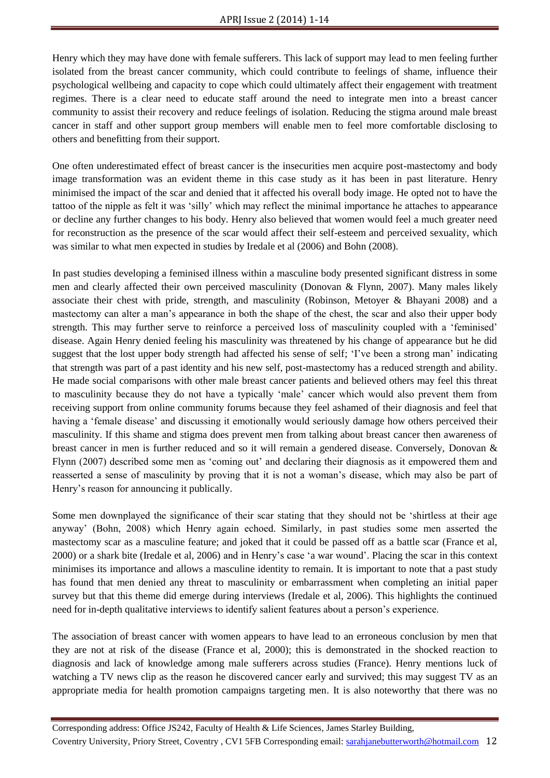Henry which they may have done with female sufferers. This lack of support may lead to men feeling further isolated from the breast cancer community, which could contribute to feelings of shame, influence their psychological wellbeing and capacity to cope which could ultimately affect their engagement with treatment regimes. There is a clear need to educate staff around the need to integrate men into a breast cancer community to assist their recovery and reduce feelings of isolation. Reducing the stigma around male breast cancer in staff and other support group members will enable men to feel more comfortable disclosing to others and benefitting from their support.

One often underestimated effect of breast cancer is the insecurities men acquire post-mastectomy and body image transformation was an evident theme in this case study as it has been in past literature. Henry minimised the impact of the scar and denied that it affected his overall body image. He opted not to have the tattoo of the nipple as felt it was 'silly' which may reflect the minimal importance he attaches to appearance or decline any further changes to his body. Henry also believed that women would feel a much greater need for reconstruction as the presence of the scar would affect their self-esteem and perceived sexuality, which was similar to what men expected in studies by Iredale et al (2006) and Bohn (2008).

In past studies developing a feminised illness within a masculine body presented significant distress in some men and clearly affected their own perceived masculinity (Donovan & Flynn, 2007). Many males likely associate their chest with pride, strength, and masculinity (Robinson, Metoyer & Bhayani 2008) and a mastectomy can alter a man's appearance in both the shape of the chest, the scar and also their upper body strength. This may further serve to reinforce a perceived loss of masculinity coupled with a 'feminised' disease. Again Henry denied feeling his masculinity was threatened by his change of appearance but he did suggest that the lost upper body strength had affected his sense of self; 'I've been a strong man' indicating that strength was part of a past identity and his new self, post-mastectomy has a reduced strength and ability. He made social comparisons with other male breast cancer patients and believed others may feel this threat to masculinity because they do not have a typically 'male' cancer which would also prevent them from receiving support from online community forums because they feel ashamed of their diagnosis and feel that having a 'female disease' and discussing it emotionally would seriously damage how others perceived their masculinity. If this shame and stigma does prevent men from talking about breast cancer then awareness of breast cancer in men is further reduced and so it will remain a gendered disease. Conversely, Donovan & Flynn (2007) described some men as 'coming out' and declaring their diagnosis as it empowered them and reasserted a sense of masculinity by proving that it is not a woman's disease, which may also be part of Henry's reason for announcing it publically.

Some men downplayed the significance of their scar stating that they should not be 'shirtless at their age anyway' (Bohn, 2008) which Henry again echoed. Similarly, in past studies some men asserted the mastectomy scar as a masculine feature; and joked that it could be passed off as a battle scar (France et al, 2000) or a shark bite (Iredale et al, 2006) and in Henry's case 'a war wound'. Placing the scar in this context minimises its importance and allows a masculine identity to remain. It is important to note that a past study has found that men denied any threat to masculinity or embarrassment when completing an initial paper survey but that this theme did emerge during interviews (Iredale et al, 2006). This highlights the continued need for in-depth qualitative interviews to identify salient features about a person's experience.

The association of breast cancer with women appears to have lead to an erroneous conclusion by men that they are not at risk of the disease (France et al, 2000); this is demonstrated in the shocked reaction to diagnosis and lack of knowledge among male sufferers across studies (France). Henry mentions luck of watching a TV news clip as the reason he discovered cancer early and survived; this may suggest TV as an appropriate media for health promotion campaigns targeting men. It is also noteworthy that there was no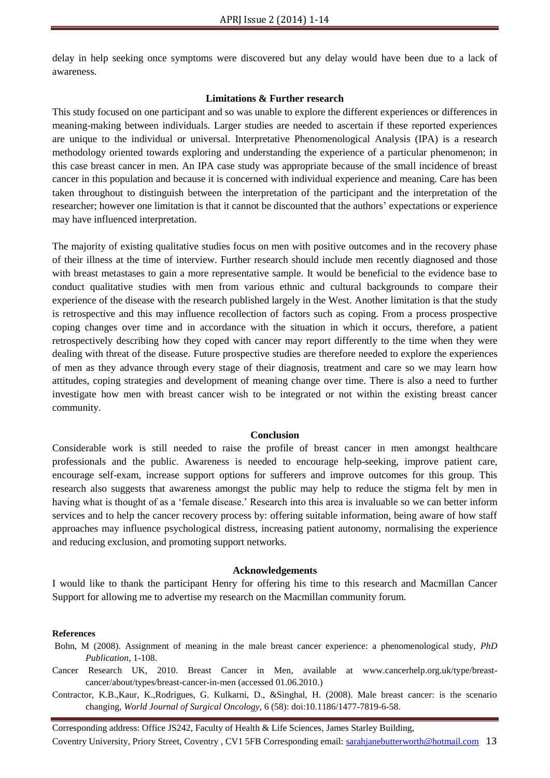delay in help seeking once symptoms were discovered but any delay would have been due to a lack of awareness.

#### **Limitations & Further research**

This study focused on one participant and so was unable to explore the different experiences or differences in meaning-making between individuals. Larger studies are needed to ascertain if these reported experiences are unique to the individual or universal. Interpretative Phenomenological Analysis (IPA) is a research methodology oriented towards exploring and understanding the experience of a particular phenomenon; in this case breast cancer in men. An IPA case study was appropriate because of the small incidence of breast cancer in this population and because it is concerned with individual experience and meaning. Care has been taken throughout to distinguish between the interpretation of the participant and the interpretation of the researcher; however one limitation is that it cannot be discounted that the authors' expectations or experience may have influenced interpretation.

The majority of existing qualitative studies focus on men with positive outcomes and in the recovery phase of their illness at the time of interview. Further research should include men recently diagnosed and those with breast metastases to gain a more representative sample. It would be beneficial to the evidence base to conduct qualitative studies with men from various ethnic and cultural backgrounds to compare their experience of the disease with the research published largely in the West. Another limitation is that the study is retrospective and this may influence recollection of factors such as coping. From a process prospective coping changes over time and in accordance with the situation in which it occurs, therefore, a patient retrospectively describing how they coped with cancer may report differently to the time when they were dealing with threat of the disease. Future prospective studies are therefore needed to explore the experiences of men as they advance through every stage of their diagnosis, treatment and care so we may learn how attitudes, coping strategies and development of meaning change over time. There is also a need to further investigate how men with breast cancer wish to be integrated or not within the existing breast cancer community.

#### **Conclusion**

Considerable work is still needed to raise the profile of breast cancer in men amongst healthcare professionals and the public. Awareness is needed to encourage help-seeking, improve patient care, encourage self-exam, increase support options for sufferers and improve outcomes for this group. This research also suggests that awareness amongst the public may help to reduce the stigma felt by men in having what is thought of as a 'female disease.' Research into this area is invaluable so we can better inform services and to help the cancer recovery process by: offering suitable information, being aware of how staff approaches may influence psychological distress, increasing patient autonomy, normalising the experience and reducing exclusion, and promoting support networks.

#### **Acknowledgements**

I would like to thank the participant Henry for offering his time to this research and Macmillan Cancer Support for allowing me to advertise my research on the Macmillan community forum.

#### **References**

- Bohn, M (2008). Assignment of meaning in the male breast cancer experience: a phenomenological study, *PhD Publication*, 1-108.
- Cancer Research UK, 2010. Breast Cancer in Men, available at www.cancerhelp.org.uk/type/breastcancer/about/types/breast-cancer-in-men (accessed 01.06.2010.)
- Contractor, K.B.,Kaur, K.,Rodrigues, G. Kulkarni, D., &Singhal, H. (2008). Male breast cancer: is the scenario changing, *World Journal of Surgical Oncology*, 6 (58): doi:10.1186/1477-7819-6-58.

Corresponding address: Office JS242, Faculty of Health & Life Sciences, James Starley Building, Coventry University, Priory Street, Coventry , CV1 5FB Corresponding email: sarahjanebutterworth@hotmail.com 13